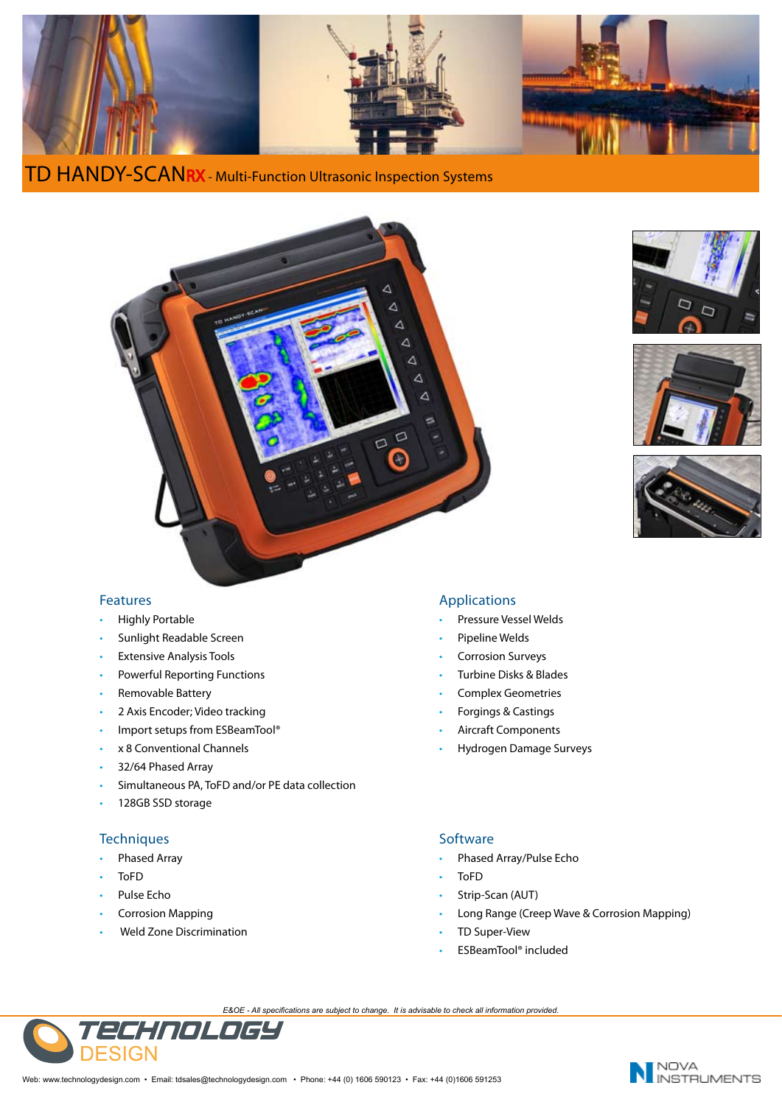

**TD HANDY-SCANRX** - Multi-Function Ultrasonic Inspection Systems









## Features

- Highly Portable
- Sunlight Readable Screen
- Extensive Analysis Tools
- Powerful Reporting Functions
- Removable Battery
- 2 Axis Encoder; Video tracking
- Import setups from ESBeamTool®
- x 8 Conventional Channels
- 32/64 Phased Array
- Simultaneous PA, ToFD and/or PE data collection
- 128GB SSD storage

# **Techniques**

- Phased Array
- ToFD
- Pulse Echo
- Corrosion Mapping
- Weld Zone Discrimination

## Applications

- Pressure Vessel Welds
- Pipeline Welds
- Corrosion Surveys
- Turbine Disks & Blades
- Complex Geometries
- Forgings & Castings
- Aircraft Components
- Hydrogen Damage Surveys

# **Software**

- Phased Array/Pulse Echo
- ToFD
- Strip-Scan (AUT)
- Long Range (Creep Wave & Corrosion Mapping)
- TD Super-View
- ESBeamTool® included

*E&OE - All specifications are subject to change. It is advisable to check all information provided.*